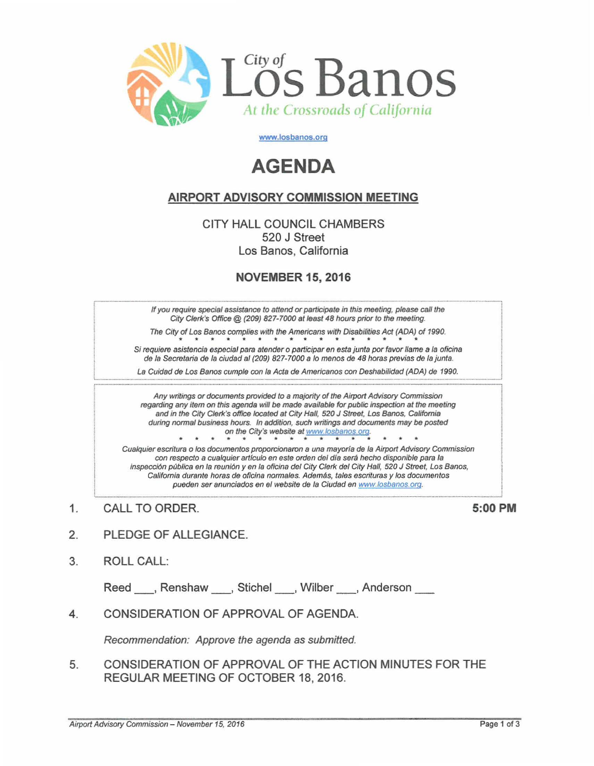

www.losbanos.org

## **AGENDA**

## **AIRPORT ADVISORY COMMISSION MEETING**

CITY HALL COUNCIL CHAMBERS 520 J Street Los Banos, California

## **NOVEMBER 15, 2016**

If you require special assistance to attend or participate in this meeting, please call the City Clerk's Office @ (209) 827-7000 at least 48 hours prior to the meeting.

The City of Los Banos complies with the Americans with Disabilities Act (ADA) of 1990.  $*$  \*

Si requiere asistencia especial para atender o participar en esta junta por favor llame a la oficina de la Secretaria de la ciudad al (209) 827-7000 a lo menos de 48 horas previas de la junta.

La Cuidad de Los Banos cumple con la Acta de Americanos con Deshabilidad (ADA) de 1990.

Any writings or documents provided to a majority of the Airport Advisory Commission regarding any item on this agenda will be made available for public inspection at the meeting and in the City Clerk's office located at City Hall, 520 J Street, Los Banos, California during normal business hours. In addition, such writings and documents may be posted on the City's website at www.losbanos.org.

Cualquier escritura o los documentos proporcionaron a una mayoría de la Airport Advisory Commission con respecto a cualquier artículo en este orden del día será hecho disponible para la inspección pública en la reunión y en la oficina del City Clerk del City Hall, 520 J Street, Los Banos, California durante horas de oficina normales. Además, tales escrituras y los documentos pueden ser anunciados en el website de la Ciudad en www.losbanos.org.

 $\mathbf{1}$ . CALL TO ORDER. 5:00 PM

- PLEDGE OF ALLEGIANCE.  $2.$
- 3. **ROLL CALL:**

Reed Renshaw Stichel Wilber Anderson

CONSIDERATION OF APPROVAL OF AGENDA.  $\overline{4}$ 

Recommendation: Approve the agenda as submitted.

CONSIDERATION OF APPROVAL OF THE ACTION MINUTES FOR THE 5. REGULAR MEETING OF OCTOBER 18, 2016.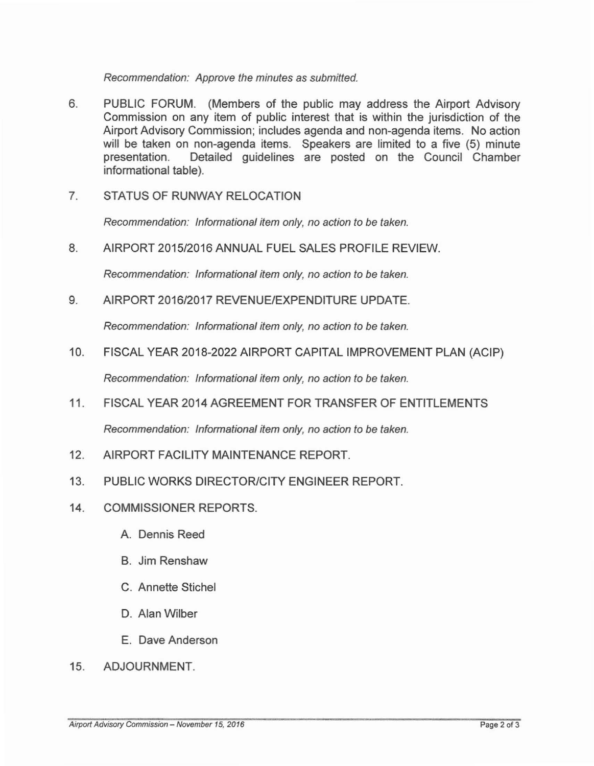Recommendation: Approve the minutes as submitted.

- 6. PUBLIC FORUM. (Members of the public may address the Airport Advisory Commission on any item of public interest that is within the jurisdiction of the Airport Advisory Commission; includes agenda and non-agenda items. No action will be taken on non-agenda items. Speakers are limited to a five (5) minute presentation. Detailed guidelines are posted on the Council Chamber informational table).
- 7. STATUS OF RUNWAY RELOCATION

Recommendation: Informational item only, no action to be taken.

8. AIRPORT 2015/2016 ANNUAL FUEL SALES PROFILE REVIEW

Recommendation: Informational item only, no action to be taken.

9. AIRPORT 2016/2017 REVENUE/EXPENDITURE UPDATE.

Recommendation: Informational item only, no action to be taken.

10. FISCAL YEAR 2018-2022 AIRPORT CAPITAL IMPROVEMENT PLAN (ACIP)

Recommendation: Informational item only, no action to be taken.

- 11. FISCAL YEAR 2014 AGREEMENT FOR TRANSFER OF ENTITLEMENTS Recommendation: Informational item only, no action to be taken.
- 12. AIRPORT FACILITY MAINTENANCE REPORT.
- 13. PUBLIC WORKS DIRECTOR/CITY ENGINEER REPORT.
- 14. COMMISSIONER REPORTS.
	- A Dennis Reed
	- B. Jim Renshaw
	- C. Annette Stichel
	- D. Alan Wilber
	- E. Dave Anderson
- 15. ADJOURNMENT.